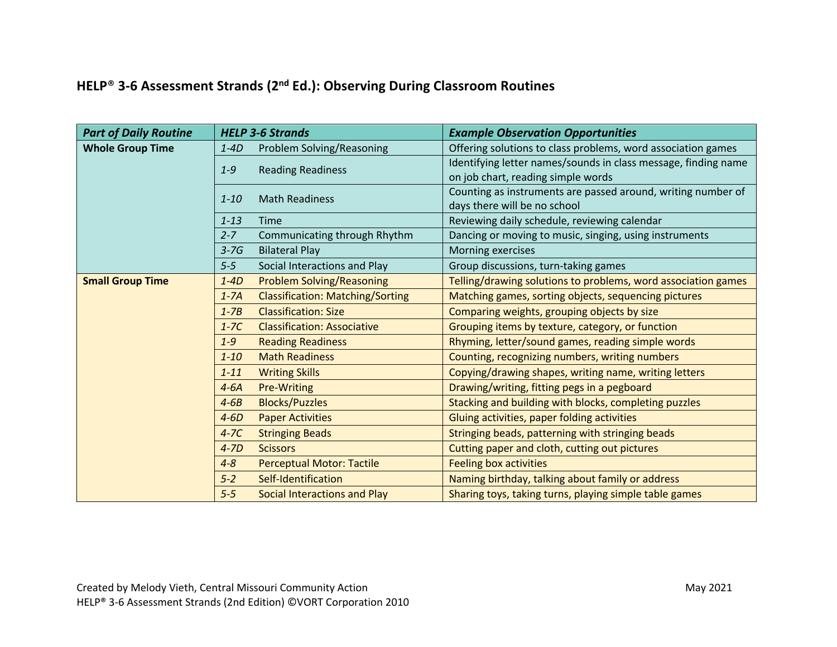## **HELP**® **3-6 Assessment Strands (2nd Ed.): Observing During Classroom Routines**

| <b>Part of Daily Routine</b> |          | <b>HELP 3-6 Strands</b>                 | <b>Example Observation Opportunities</b>                                                             |
|------------------------------|----------|-----------------------------------------|------------------------------------------------------------------------------------------------------|
| <b>Whole Group Time</b>      | $1 - 4D$ | Problem Solving/Reasoning               | Offering solutions to class problems, word association games                                         |
|                              | $1 - 9$  | <b>Reading Readiness</b>                | Identifying letter names/sounds in class message, finding name<br>on job chart, reading simple words |
|                              | $1 - 10$ | <b>Math Readiness</b>                   | Counting as instruments are passed around, writing number of<br>days there will be no school         |
|                              | $1 - 13$ | <b>Time</b>                             | Reviewing daily schedule, reviewing calendar                                                         |
|                              | $2 - 7$  | Communicating through Rhythm            | Dancing or moving to music, singing, using instruments                                               |
|                              | $3-7G$   | <b>Bilateral Play</b>                   | Morning exercises                                                                                    |
|                              | $5 - 5$  | Social Interactions and Play            | Group discussions, turn-taking games                                                                 |
| <b>Small Group Time</b>      | $1 - 4D$ | <b>Problem Solving/Reasoning</b>        | Telling/drawing solutions to problems, word association games                                        |
|                              | $1-7A$   | <b>Classification: Matching/Sorting</b> | Matching games, sorting objects, sequencing pictures                                                 |
|                              | $1 - 7B$ | <b>Classification: Size</b>             | Comparing weights, grouping objects by size                                                          |
|                              | $1-7C$   | <b>Classification: Associative</b>      | Grouping items by texture, category, or function                                                     |
|                              | $1 - 9$  | <b>Reading Readiness</b>                | Rhyming, letter/sound games, reading simple words                                                    |
|                              | $1 - 10$ | <b>Math Readiness</b>                   | Counting, recognizing numbers, writing numbers                                                       |
|                              | $1 - 11$ | <b>Writing Skills</b>                   | Copying/drawing shapes, writing name, writing letters                                                |
|                              | $4-6A$   | Pre-Writing                             | Drawing/writing, fitting pegs in a pegboard                                                          |
|                              | $4-6B$   | <b>Blocks/Puzzles</b>                   | Stacking and building with blocks, completing puzzles                                                |
|                              | $4-6D$   | <b>Paper Activities</b>                 | Gluing activities, paper folding activities                                                          |
|                              | $4-7C$   | <b>Stringing Beads</b>                  | Stringing beads, patterning with stringing beads                                                     |
|                              | $4 - 7D$ | <b>Scissors</b>                         | Cutting paper and cloth, cutting out pictures                                                        |
|                              | $4 - 8$  | <b>Perceptual Motor: Tactile</b>        | <b>Feeling box activities</b>                                                                        |
|                              | $5 - 2$  | Self-Identification                     | Naming birthday, talking about family or address                                                     |
|                              | $5 - 5$  | Social Interactions and Play            | Sharing toys, taking turns, playing simple table games                                               |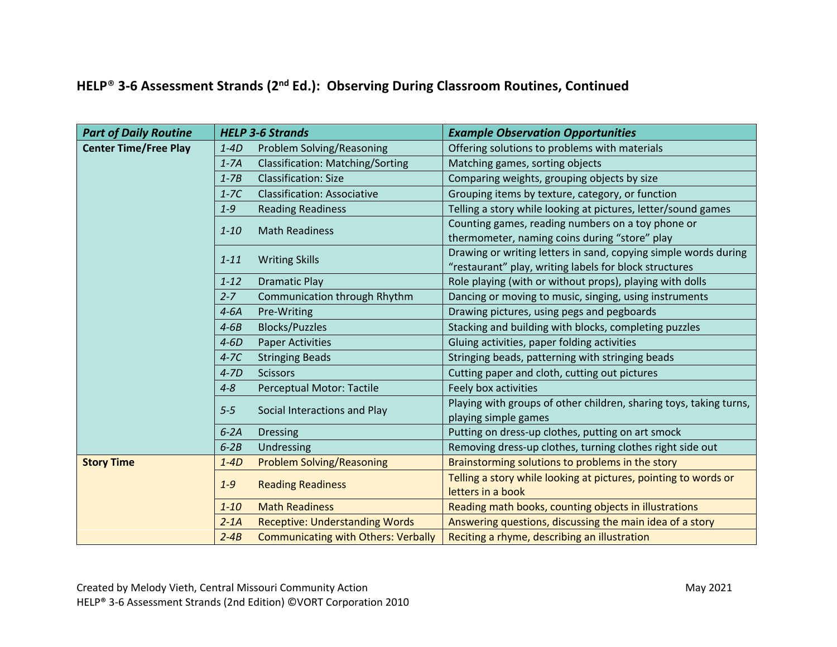## **HELP**® **3-6 Assessment Strands (2nd Ed.): Observing During Classroom Routines, Continued**

| <b>Part of Daily Routine</b> | <b>HELP 3-6 Strands</b> |                                            | <b>Example Observation Opportunities</b>                                                                                  |
|------------------------------|-------------------------|--------------------------------------------|---------------------------------------------------------------------------------------------------------------------------|
| <b>Center Time/Free Play</b> | $1 - 4D$                | Problem Solving/Reasoning                  | Offering solutions to problems with materials                                                                             |
|                              | $1-7A$                  | <b>Classification: Matching/Sorting</b>    | Matching games, sorting objects                                                                                           |
|                              | $1 - 7B$                | <b>Classification: Size</b>                | Comparing weights, grouping objects by size                                                                               |
|                              | $1-7C$                  | <b>Classification: Associative</b>         | Grouping items by texture, category, or function                                                                          |
|                              | $1 - 9$                 | <b>Reading Readiness</b>                   | Telling a story while looking at pictures, letter/sound games                                                             |
|                              | $1 - 10$                | <b>Math Readiness</b>                      | Counting games, reading numbers on a toy phone or<br>thermometer, naming coins during "store" play                        |
|                              | $1 - 11$                | <b>Writing Skills</b>                      | Drawing or writing letters in sand, copying simple words during<br>"restaurant" play, writing labels for block structures |
|                              | $1 - 12$                | <b>Dramatic Play</b>                       | Role playing (with or without props), playing with dolls                                                                  |
|                              | $2 - 7$                 | Communication through Rhythm               | Dancing or moving to music, singing, using instruments                                                                    |
|                              | $4-6A$                  | Pre-Writing                                | Drawing pictures, using pegs and pegboards                                                                                |
|                              | $4-6B$                  | <b>Blocks/Puzzles</b>                      | Stacking and building with blocks, completing puzzles                                                                     |
|                              | $4-6D$                  | <b>Paper Activities</b>                    | Gluing activities, paper folding activities                                                                               |
|                              | $4-7C$                  | <b>Stringing Beads</b>                     | Stringing beads, patterning with stringing beads                                                                          |
|                              | $4 - 7D$                | <b>Scissors</b>                            | Cutting paper and cloth, cutting out pictures                                                                             |
|                              | $4 - 8$                 | <b>Perceptual Motor: Tactile</b>           | Feely box activities                                                                                                      |
|                              | $5 - 5$                 | Social Interactions and Play               | Playing with groups of other children, sharing toys, taking turns,<br>playing simple games                                |
|                              | $6-2A$                  | <b>Dressing</b>                            | Putting on dress-up clothes, putting on art smock                                                                         |
|                              | $6-2B$                  | Undressing                                 | Removing dress-up clothes, turning clothes right side out                                                                 |
| <b>Story Time</b>            | $1 - 4D$                | <b>Problem Solving/Reasoning</b>           | Brainstorming solutions to problems in the story                                                                          |
|                              | $1 - 9$                 | <b>Reading Readiness</b>                   | Telling a story while looking at pictures, pointing to words or<br>letters in a book                                      |
|                              | $1 - 10$                | <b>Math Readiness</b>                      | Reading math books, counting objects in illustrations                                                                     |
|                              | $2 - 1A$                | <b>Receptive: Understanding Words</b>      | Answering questions, discussing the main idea of a story                                                                  |
|                              | $2 - 4B$                | <b>Communicating with Others: Verbally</b> | Reciting a rhyme, describing an illustration                                                                              |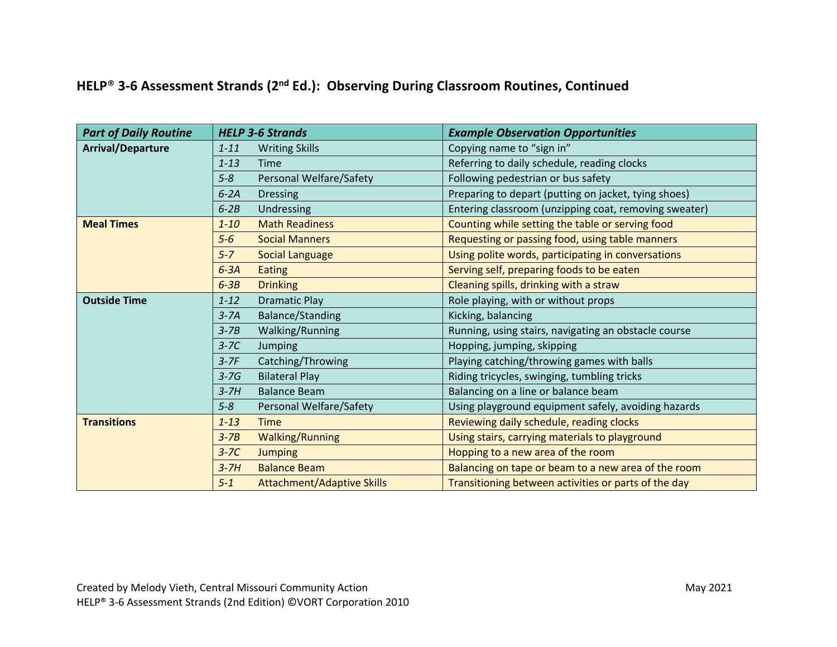## **HELP**® **3-6 Assessment Strands (2nd Ed.): Observing During Classroom Routines, Continued**

| <b>Part of Daily Routine</b> | <b>HELP 3-6 Strands</b>                      | <b>Example Observation Opportunities</b>              |
|------------------------------|----------------------------------------------|-------------------------------------------------------|
| <b>Arrival/Departure</b>     | <b>Writing Skills</b><br>$1 - 11$            | Copying name to "sign in"                             |
|                              | $1 - 13$<br><b>Time</b>                      | Referring to daily schedule, reading clocks           |
|                              | $5 - 8$<br>Personal Welfare/Safety           | Following pedestrian or bus safety                    |
|                              | $6-2A$<br><b>Dressing</b>                    | Preparing to depart (putting on jacket, tying shoes)  |
|                              | $6-2B$<br>Undressing                         | Entering classroom (unzipping coat, removing sweater) |
| <b>Meal Times</b>            | <b>Math Readiness</b><br>$1 - 10$            | Counting while setting the table or serving food      |
|                              | <b>Social Manners</b><br>$5-6$               | Requesting or passing food, using table manners       |
|                              | $5 - 7$<br><b>Social Language</b>            | Using polite words, participating in conversations    |
|                              | $6-3A$<br><b>Eating</b>                      | Serving self, preparing foods to be eaten             |
|                              | $6-3B$<br><b>Drinking</b>                    | Cleaning spills, drinking with a straw                |
| <b>Outside Time</b>          | <b>Dramatic Play</b><br>$1 - 12$             | Role playing, with or without props                   |
|                              | <b>Balance/Standing</b><br>$3 - 7A$          | Kicking, balancing                                    |
|                              | Walking/Running<br>$3 - 7B$                  | Running, using stairs, navigating an obstacle course  |
|                              | $3 - 7C$<br>Jumping                          | Hopping, jumping, skipping                            |
|                              | Catching/Throwing<br>$3-7F$                  | Playing catching/throwing games with balls            |
|                              | <b>Bilateral Play</b><br>$3-7G$              | Riding tricycles, swinging, tumbling tricks           |
|                              | <b>Balance Beam</b><br>$3-7H$                | Balancing on a line or balance beam                   |
|                              | $5 - 8$<br>Personal Welfare/Safety           | Using playground equipment safely, avoiding hazards   |
| <b>Transitions</b>           | $1 - 13$<br><b>Time</b>                      | Reviewing daily schedule, reading clocks              |
|                              | <b>Walking/Running</b><br>$3 - 7B$           | Using stairs, carrying materials to playground        |
|                              | $3-7C$<br><b>Jumping</b>                     | Hopping to a new area of the room                     |
|                              | <b>Balance Beam</b><br>$3-7H$                | Balancing on tape or beam to a new area of the room   |
|                              | $5 - 1$<br><b>Attachment/Adaptive Skills</b> | Transitioning between activities or parts of the day  |